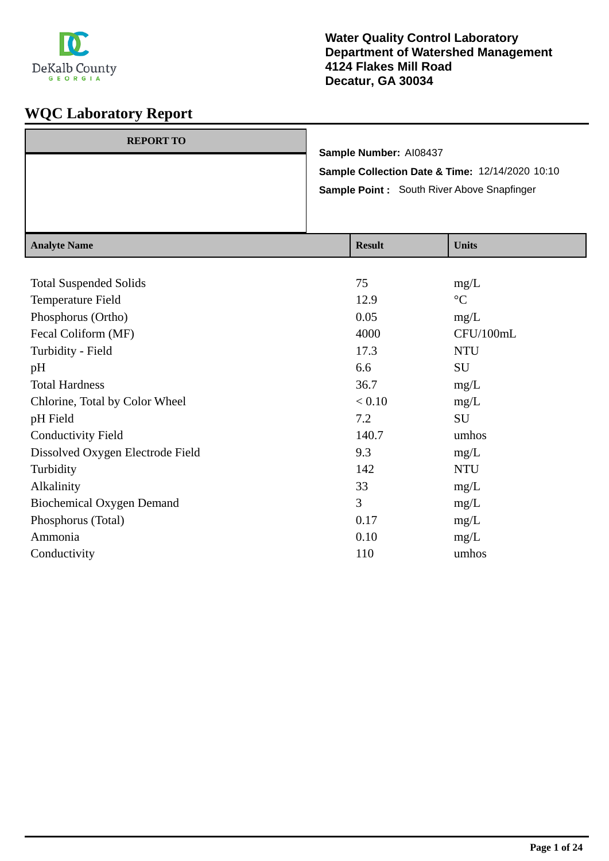

| <b>REPORT TO</b> |                                                 |
|------------------|-------------------------------------------------|
|                  | Sample Number: AI08437                          |
|                  | Sample Collection Date & Time: 12/14/2020 10:10 |
|                  | Sample Point: South River Above Snapfinger      |
|                  |                                                 |
|                  |                                                 |

| <b>Analyte Name</b>              | <b>Result</b> | <b>Units</b>    |
|----------------------------------|---------------|-----------------|
|                                  |               |                 |
| <b>Total Suspended Solids</b>    | 75            | mg/L            |
| Temperature Field                | 12.9          | $\rm ^{\circ}C$ |
| Phosphorus (Ortho)               | 0.05          | mg/L            |
| Fecal Coliform (MF)              | 4000          | CFU/100mL       |
| Turbidity - Field                | 17.3          | <b>NTU</b>      |
| pH                               | 6.6           | <b>SU</b>       |
| <b>Total Hardness</b>            | 36.7          | mg/L            |
| Chlorine, Total by Color Wheel   | < 0.10        | mg/L            |
| pH Field                         | 7.2           | <b>SU</b>       |
| <b>Conductivity Field</b>        | 140.7         | umhos           |
| Dissolved Oxygen Electrode Field | 9.3           | mg/L            |
| Turbidity                        | 142           | <b>NTU</b>      |
| Alkalinity                       | 33            | mg/L            |
| <b>Biochemical Oxygen Demand</b> | 3             | mg/L            |
| Phosphorus (Total)               | 0.17          | mg/L            |
| Ammonia                          | 0.10          | mg/L            |
| Conductivity                     | 110           | umhos           |
|                                  |               |                 |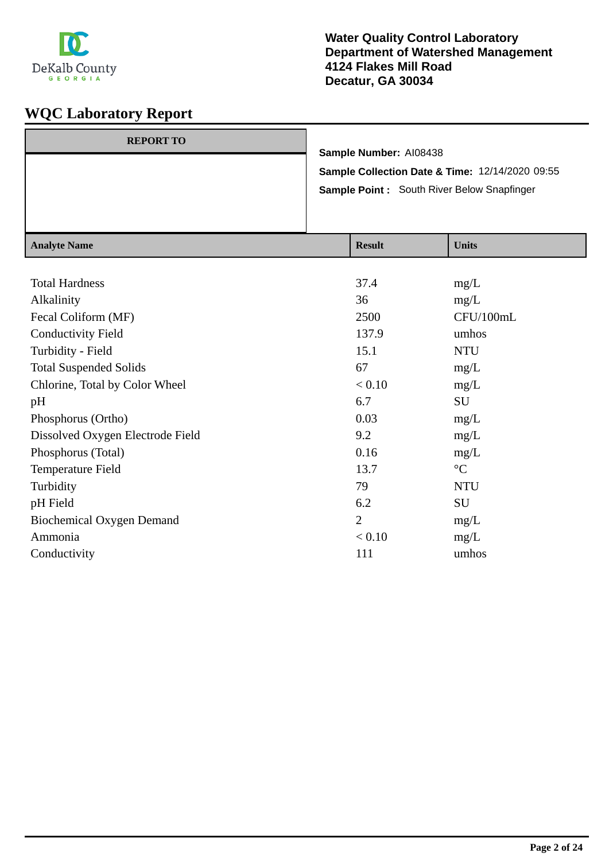

| <b>REPORT TO</b> |                                                 |
|------------------|-------------------------------------------------|
|                  | Sample Number: AI08438                          |
|                  | Sample Collection Date & Time: 12/14/2020 09:55 |
|                  | Sample Point: South River Below Snapfinger      |
|                  |                                                 |
|                  |                                                 |

| <b>Analyte Name</b>              | <b>Result</b>  | <b>Units</b>    |
|----------------------------------|----------------|-----------------|
|                                  |                |                 |
| <b>Total Hardness</b>            | 37.4           | mg/L            |
| Alkalinity                       | 36             | mg/L            |
| Fecal Coliform (MF)              | 2500           | CFU/100mL       |
| <b>Conductivity Field</b>        | 137.9          | umhos           |
| Turbidity - Field                | 15.1           | <b>NTU</b>      |
| <b>Total Suspended Solids</b>    | 67             | mg/L            |
| Chlorine, Total by Color Wheel   | < 0.10         | mg/L            |
| pH                               | 6.7            | SU              |
| Phosphorus (Ortho)               | 0.03           | mg/L            |
| Dissolved Oxygen Electrode Field | 9.2            | mg/L            |
| Phosphorus (Total)               | 0.16           | mg/L            |
| Temperature Field                | 13.7           | $\rm ^{\circ}C$ |
| Turbidity                        | 79             | <b>NTU</b>      |
| pH Field                         | 6.2            | SU              |
| Biochemical Oxygen Demand        | $\overline{2}$ | mg/L            |
| Ammonia                          | < 0.10         | mg/L            |
| Conductivity                     | 111            | umhos           |
|                                  |                |                 |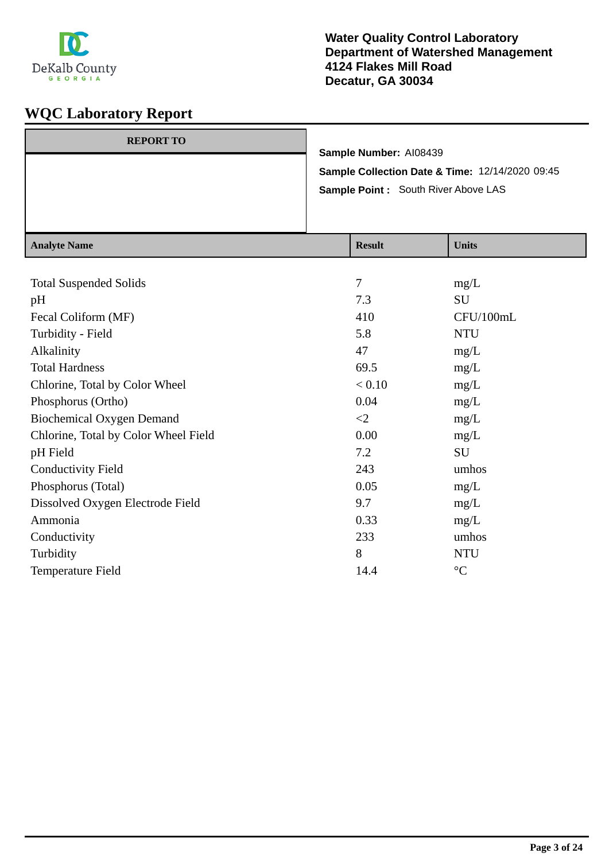

| <b>REPORT TO</b> | Sample Number: AI08439<br><b>Sample Point:</b> South River Above LAS | Sample Collection Date & Time: 12/14/2020 09:45 |
|------------------|----------------------------------------------------------------------|-------------------------------------------------|
| Analyte Name     | <b>Recult</b>                                                        | <b>I</b> Inite                                  |

| <b>Analyte Name</b>                  | <b>Result</b> | <b>Units</b>    |
|--------------------------------------|---------------|-----------------|
|                                      |               |                 |
| <b>Total Suspended Solids</b>        | 7             | mg/L            |
| pH                                   | 7.3           | SU              |
| Fecal Coliform (MF)                  | 410           | CFU/100mL       |
| Turbidity - Field                    | 5.8           | <b>NTU</b>      |
| Alkalinity                           | 47            | mg/L            |
| <b>Total Hardness</b>                | 69.5          | mg/L            |
| Chlorine, Total by Color Wheel       | < 0.10        | mg/L            |
| Phosphorus (Ortho)                   | 0.04          | mg/L            |
| <b>Biochemical Oxygen Demand</b>     | $\leq$        | mg/L            |
| Chlorine, Total by Color Wheel Field | 0.00          | mg/L            |
| pH Field                             | 7.2           | SU              |
| <b>Conductivity Field</b>            | 243           | umhos           |
| Phosphorus (Total)                   | 0.05          | mg/L            |
| Dissolved Oxygen Electrode Field     | 9.7           | mg/L            |
| Ammonia                              | 0.33          | mg/L            |
| Conductivity                         | 233           | umhos           |
| Turbidity                            | 8             | <b>NTU</b>      |
| Temperature Field                    | 14.4          | $\rm ^{\circ}C$ |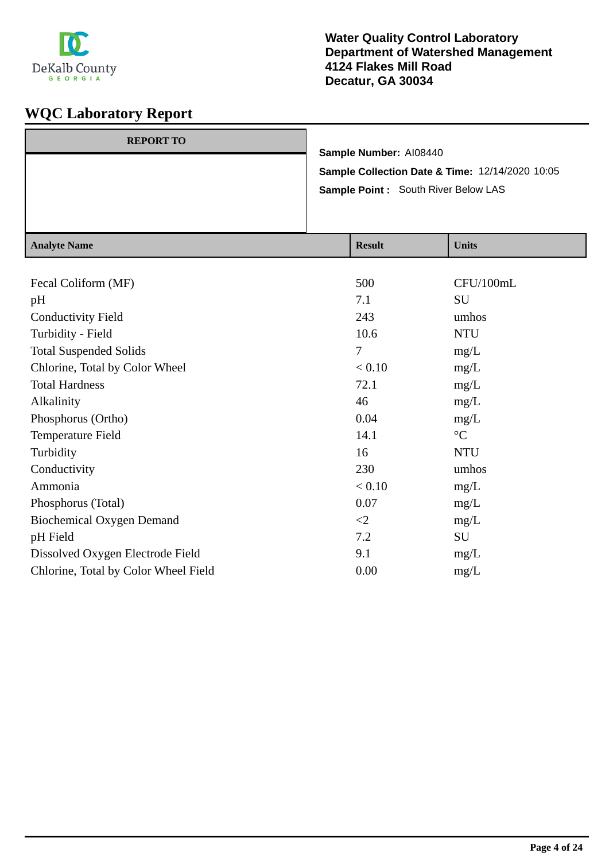

| <b>REPORT TO</b> |                                                 |
|------------------|-------------------------------------------------|
|                  | Sample Number: AI08440                          |
|                  | Sample Collection Date & Time: 12/14/2020 10:05 |
|                  | Sample Point: South River Below LAS             |
|                  |                                                 |
|                  |                                                 |

| <b>Analyte Name</b>                  | <b>Result</b> | <b>Units</b>    |
|--------------------------------------|---------------|-----------------|
|                                      |               |                 |
| Fecal Coliform (MF)                  | 500           | CFU/100mL       |
| pH                                   | 7.1           | SU              |
| <b>Conductivity Field</b>            | 243           | umhos           |
| Turbidity - Field                    | 10.6          | <b>NTU</b>      |
| <b>Total Suspended Solids</b>        | 7             | mg/L            |
| Chlorine, Total by Color Wheel       | < 0.10        | mg/L            |
| <b>Total Hardness</b>                | 72.1          | mg/L            |
| Alkalinity                           | 46            | mg/L            |
| Phosphorus (Ortho)                   | 0.04          | mg/L            |
| Temperature Field                    | 14.1          | $\rm ^{\circ}C$ |
| Turbidity                            | 16            | <b>NTU</b>      |
| Conductivity                         | 230           | umhos           |
| Ammonia                              | < 0.10        | mg/L            |
| Phosphorus (Total)                   | 0.07          | mg/L            |
| <b>Biochemical Oxygen Demand</b>     | $\leq$ 2      | mg/L            |
| pH Field                             | 7.2           | SU              |
| Dissolved Oxygen Electrode Field     | 9.1           | mg/L            |
| Chlorine, Total by Color Wheel Field | 0.00          | mg/L            |
|                                      |               |                 |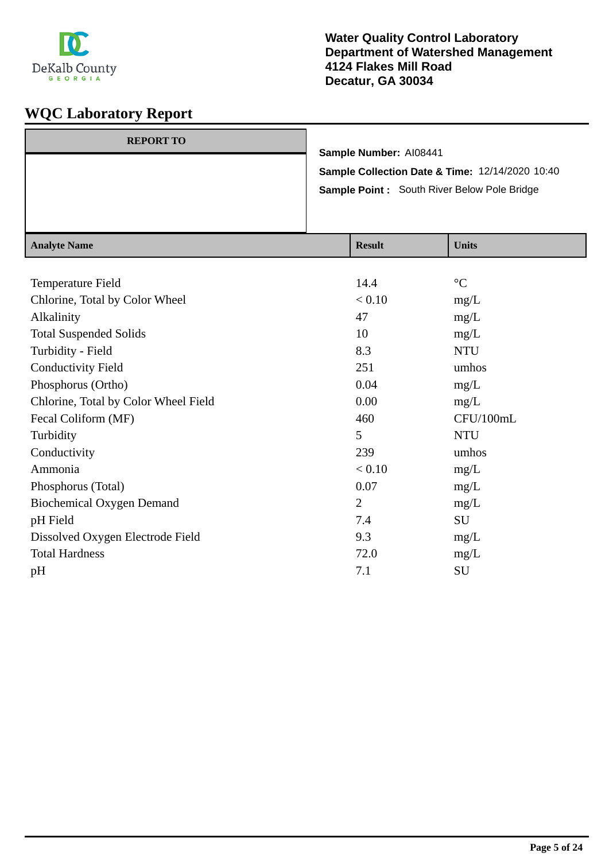

| <b>REPORT TO</b> |                                                 |
|------------------|-------------------------------------------------|
|                  | Sample Number: AI08441                          |
|                  | Sample Collection Date & Time: 12/14/2020 10:40 |
|                  | Sample Point : South River Below Pole Bridge    |
|                  |                                                 |
|                  |                                                 |

| <b>Analyte Name</b>                  | <b>Result</b>  | <b>Units</b>    |
|--------------------------------------|----------------|-----------------|
|                                      |                |                 |
| Temperature Field                    | 14.4           | $\rm ^{\circ}C$ |
| Chlorine, Total by Color Wheel       | < 0.10         | mg/L            |
| Alkalinity                           | 47             | mg/L            |
| <b>Total Suspended Solids</b>        | 10             | mg/L            |
| Turbidity - Field                    | 8.3            | <b>NTU</b>      |
| <b>Conductivity Field</b>            | 251            | umhos           |
| Phosphorus (Ortho)                   | 0.04           | mg/L            |
| Chlorine, Total by Color Wheel Field | 0.00           | mg/L            |
| Fecal Coliform (MF)                  | 460            | CFU/100mL       |
| Turbidity                            | 5              | <b>NTU</b>      |
| Conductivity                         | 239            | umhos           |
| Ammonia                              | < 0.10         | mg/L            |
| Phosphorus (Total)                   | 0.07           | mg/L            |
| <b>Biochemical Oxygen Demand</b>     | $\overline{2}$ | mg/L            |
| pH Field                             | 7.4            | SU              |
| Dissolved Oxygen Electrode Field     | 9.3            | mg/L            |
| <b>Total Hardness</b>                | 72.0           | mg/L            |
| pH                                   | 7.1            | SU              |
|                                      |                |                 |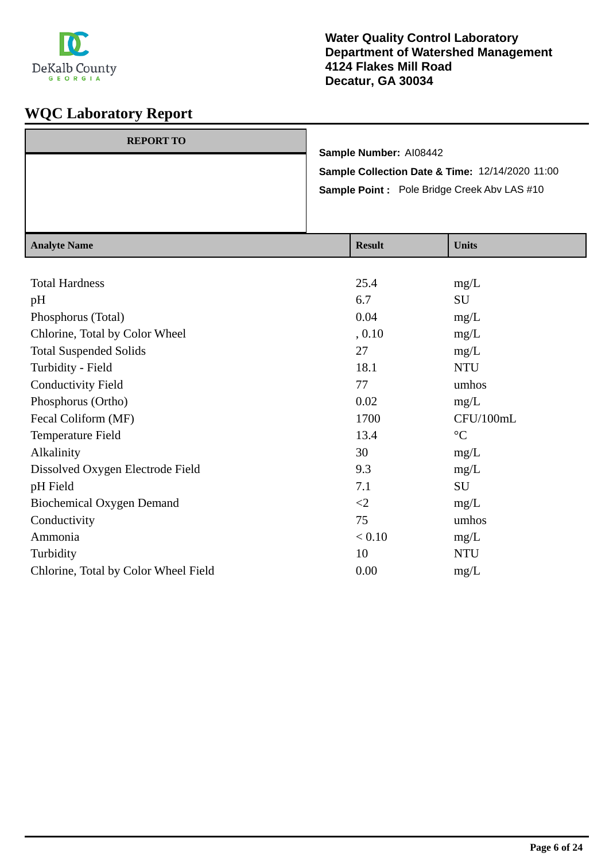

| <b>REPORT TO</b> |                                                    |
|------------------|----------------------------------------------------|
|                  | Sample Number: AI08442                             |
|                  | Sample Collection Date & Time: 12/14/2020 11:00    |
|                  | <b>Sample Point:</b> Pole Bridge Creek Abv LAS #10 |
|                  |                                                    |
|                  |                                                    |

| <b>Analyte Name</b>                  | <b>Result</b> | <b>Units</b>    |
|--------------------------------------|---------------|-----------------|
|                                      |               |                 |
| <b>Total Hardness</b>                | 25.4          | mg/L            |
| pH                                   | 6.7           | SU              |
| Phosphorus (Total)                   | 0.04          | mg/L            |
| Chlorine, Total by Color Wheel       | , 0.10        | mg/L            |
| <b>Total Suspended Solids</b>        | 27            | mg/L            |
| Turbidity - Field                    | 18.1          | <b>NTU</b>      |
| <b>Conductivity Field</b>            | 77            | umhos           |
| Phosphorus (Ortho)                   | 0.02          | mg/L            |
| Fecal Coliform (MF)                  | 1700          | CFU/100mL       |
| Temperature Field                    | 13.4          | $\rm ^{\circ}C$ |
| Alkalinity                           | 30            | mg/L            |
| Dissolved Oxygen Electrode Field     | 9.3           | mg/L            |
| pH Field                             | 7.1           | SU              |
| <b>Biochemical Oxygen Demand</b>     | $\leq$ 2      | mg/L            |
| Conductivity                         | 75            | umhos           |
| Ammonia                              | < 0.10        | mg/L            |
| Turbidity                            | 10            | <b>NTU</b>      |
| Chlorine, Total by Color Wheel Field | 0.00          | mg/L            |
|                                      |               |                 |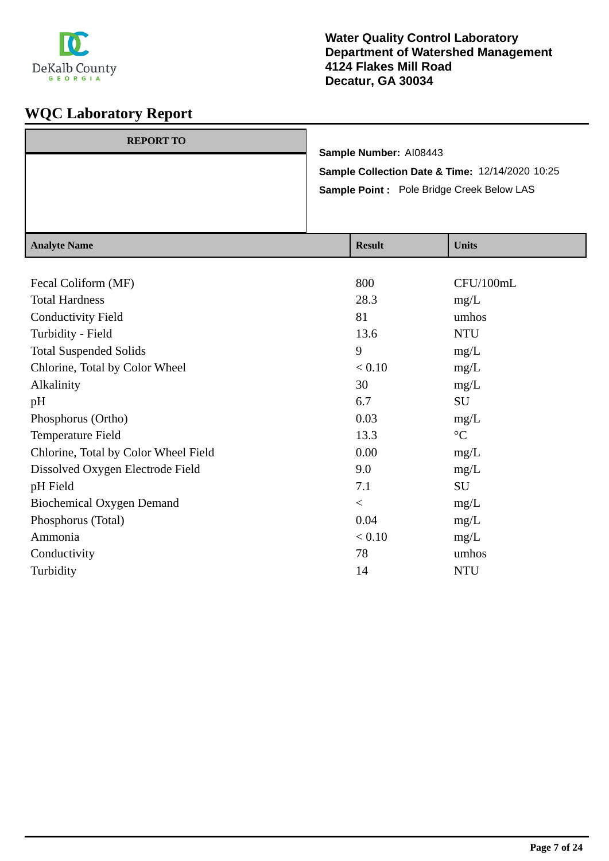

| <b>REPORT TO</b> |                                                            |
|------------------|------------------------------------------------------------|
|                  | Sample Number: AI08443                                     |
|                  | <b>Sample Collection Date &amp; Time: 12/14/2020 10:25</b> |
|                  | Sample Point : Pole Bridge Creek Below LAS                 |
|                  |                                                            |
|                  |                                                            |

| <b>Analyte Name</b>                  | <b>Result</b> | <b>Units</b>    |
|--------------------------------------|---------------|-----------------|
|                                      |               |                 |
| Fecal Coliform (MF)                  | 800           | CFU/100mL       |
| <b>Total Hardness</b>                | 28.3          | mg/L            |
| <b>Conductivity Field</b>            | 81            | umhos           |
| Turbidity - Field                    | 13.6          | <b>NTU</b>      |
| <b>Total Suspended Solids</b>        | 9             | mg/L            |
| Chlorine, Total by Color Wheel       | < 0.10        | mg/L            |
| Alkalinity                           | 30            | mg/L            |
| pH                                   | 6.7           | SU              |
| Phosphorus (Ortho)                   | 0.03          | mg/L            |
| Temperature Field                    | 13.3          | $\rm ^{\circ}C$ |
| Chlorine, Total by Color Wheel Field | 0.00          | mg/L            |
| Dissolved Oxygen Electrode Field     | 9.0           | mg/L            |
| pH Field                             | 7.1           | SU              |
| <b>Biochemical Oxygen Demand</b>     | $\,<$         | mg/L            |
| Phosphorus (Total)                   | 0.04          | mg/L            |
| Ammonia                              | < 0.10        | mg/L            |
| Conductivity                         | 78            | umhos           |
| Turbidity                            | 14            | <b>NTU</b>      |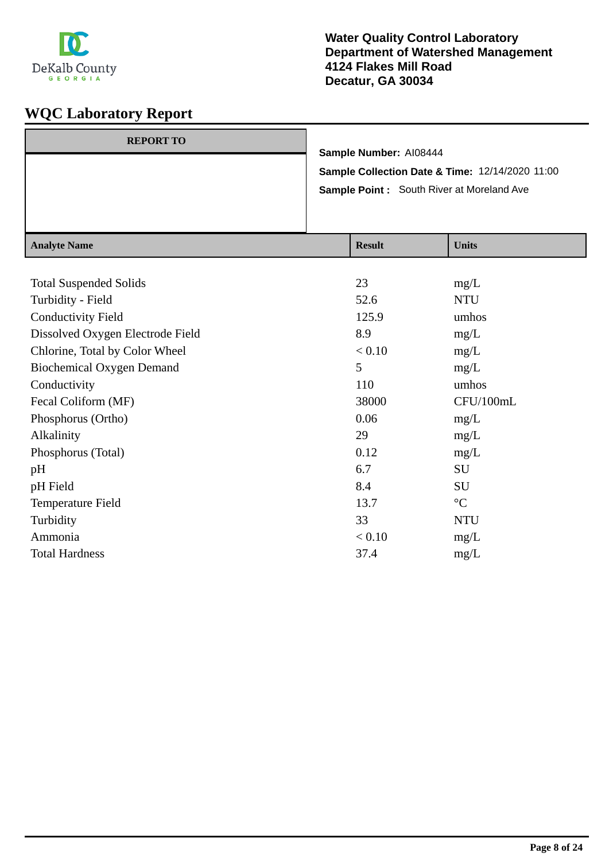

| <b>REPORT TO</b> |                                                  |
|------------------|--------------------------------------------------|
|                  | Sample Number: AI08444                           |
|                  | Sample Collection Date & Time: 12/14/2020 11:00  |
|                  | <b>Sample Point:</b> South River at Moreland Ave |
|                  |                                                  |
|                  |                                                  |

| <b>Analyte Name</b>              | <b>Result</b> | <b>Units</b>    |
|----------------------------------|---------------|-----------------|
|                                  |               |                 |
| <b>Total Suspended Solids</b>    | 23            | mg/L            |
| Turbidity - Field                | 52.6          | <b>NTU</b>      |
| <b>Conductivity Field</b>        | 125.9         | umhos           |
| Dissolved Oxygen Electrode Field | 8.9           | mg/L            |
| Chlorine, Total by Color Wheel   | < 0.10        | mg/L            |
| <b>Biochemical Oxygen Demand</b> | 5             | mg/L            |
| Conductivity                     | 110           | umhos           |
| Fecal Coliform (MF)              | 38000         | CFU/100mL       |
| Phosphorus (Ortho)               | 0.06          | mg/L            |
| Alkalinity                       | 29            | mg/L            |
| Phosphorus (Total)               | 0.12          | mg/L            |
| pH                               | 6.7           | SU              |
| pH Field                         | 8.4           | SU              |
| Temperature Field                | 13.7          | $\rm ^{\circ}C$ |
| Turbidity                        | 33            | <b>NTU</b>      |
| Ammonia                          | < 0.10        | mg/L            |
| <b>Total Hardness</b>            | 37.4          | mg/L            |
|                                  |               |                 |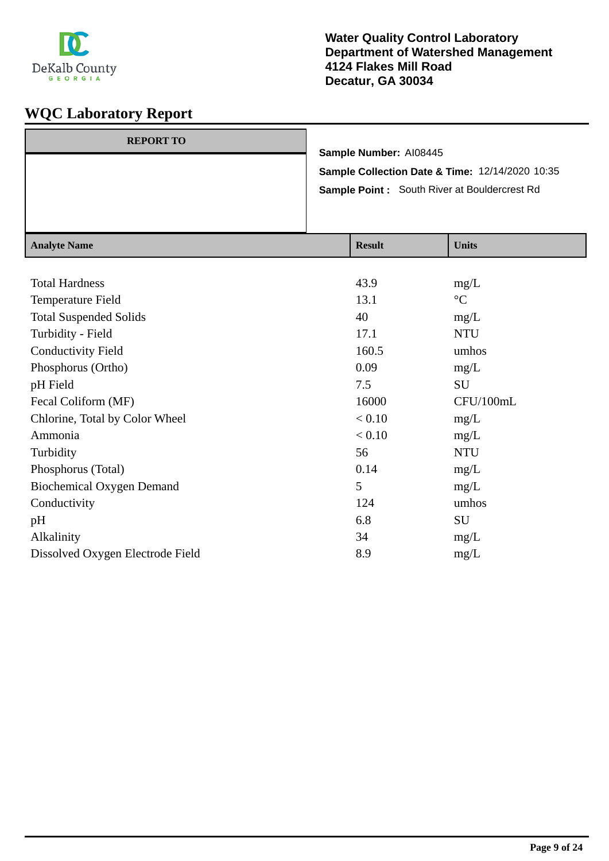

| <b>REPORT TO</b> |                                                     |
|------------------|-----------------------------------------------------|
|                  | Sample Number: AI08445                              |
|                  | Sample Collection Date & Time: 12/14/2020 10:35     |
|                  | <b>Sample Point:</b> South River at Bouldercrest Rd |
|                  |                                                     |
|                  |                                                     |

| <b>Analyte Name</b>              | <b>Result</b> | <b>Units</b>    |
|----------------------------------|---------------|-----------------|
|                                  |               |                 |
| <b>Total Hardness</b>            | 43.9          | mg/L            |
| Temperature Field                | 13.1          | $\rm ^{\circ}C$ |
| <b>Total Suspended Solids</b>    | 40            | mg/L            |
| Turbidity - Field                | 17.1          | <b>NTU</b>      |
| <b>Conductivity Field</b>        | 160.5         | umhos           |
| Phosphorus (Ortho)               | 0.09          | mg/L            |
| pH Field                         | 7.5           | SU              |
| Fecal Coliform (MF)              | 16000         | CFU/100mL       |
| Chlorine, Total by Color Wheel   | < 0.10        | mg/L            |
| Ammonia                          | < 0.10        | mg/L            |
| Turbidity                        | 56            | <b>NTU</b>      |
| Phosphorus (Total)               | 0.14          | mg/L            |
| <b>Biochemical Oxygen Demand</b> | 5             | mg/L            |
| Conductivity                     | 124           | umhos           |
| pH                               | 6.8           | SU              |
| Alkalinity                       | 34            | mg/L            |
| Dissolved Oxygen Electrode Field | 8.9           | mg/L            |
|                                  |               |                 |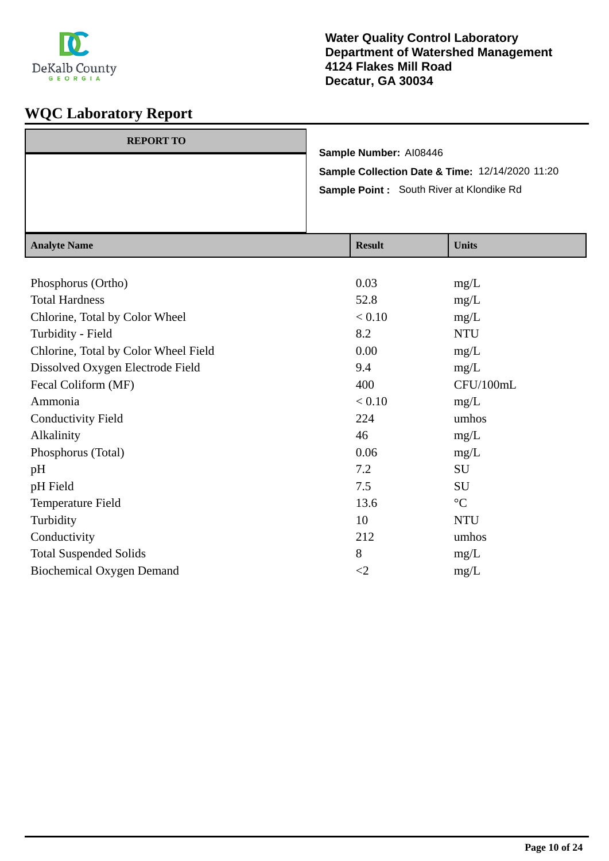

| $A = -1 - 4 - N$ |                                                                                             | $\mathbf{D}$ . $\mathbf{L}$ | $TT - 24 -$ |
|------------------|---------------------------------------------------------------------------------------------|-----------------------------|-------------|
|                  | Sample Collection Date & Time: 12/14/2020 11:20<br>Sample Point: South River at Klondike Rd |                             |             |
|                  |                                                                                             | Sample Number: AI08446      |             |
| <b>REPORT TO</b> |                                                                                             |                             |             |
|                  |                                                                                             |                             |             |

| <b>Analyte Name</b>                  | <b>Result</b> | <b>Units</b>    |
|--------------------------------------|---------------|-----------------|
|                                      |               |                 |
| Phosphorus (Ortho)                   | 0.03          | mg/L            |
| <b>Total Hardness</b>                | 52.8          | mg/L            |
| Chlorine, Total by Color Wheel       | < 0.10        | mg/L            |
| Turbidity - Field                    | 8.2           | <b>NTU</b>      |
| Chlorine, Total by Color Wheel Field | 0.00          | mg/L            |
| Dissolved Oxygen Electrode Field     | 9.4           | mg/L            |
| Fecal Coliform (MF)                  | 400           | CFU/100mL       |
| Ammonia                              | < 0.10        | mg/L            |
| <b>Conductivity Field</b>            | 224           | umhos           |
| Alkalinity                           | 46            | mg/L            |
| Phosphorus (Total)                   | 0.06          | mg/L            |
| pH                                   | 7.2           | SU              |
| pH Field                             | 7.5           | SU              |
| Temperature Field                    | 13.6          | $\rm ^{\circ}C$ |
| Turbidity                            | 10            | <b>NTU</b>      |
| Conductivity                         | 212           | umhos           |
| <b>Total Suspended Solids</b>        | 8             | mg/L            |
| <b>Biochemical Oxygen Demand</b>     | $\leq$        | mg/L            |
|                                      |               |                 |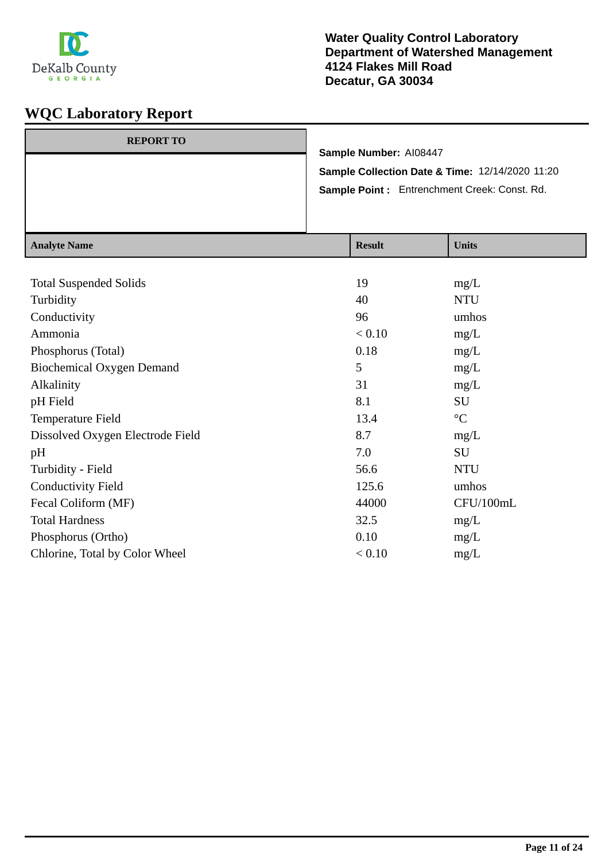

| <b>REPORT TO</b> | Sample Number: AI08447 |                                                 |
|------------------|------------------------|-------------------------------------------------|
|                  |                        | Sample Collection Date & Time: 12/14/2020 11:20 |
|                  |                        | Sample Point: Entrenchment Creek: Const. Rd.    |
|                  |                        |                                                 |
|                  |                        |                                                 |
| Analyte Name     | <b>Recult</b>          | <b>I</b> Inite                                  |

| <b>Analyte Name</b>              | <b>Result</b> | <b>Units</b>    |
|----------------------------------|---------------|-----------------|
|                                  |               |                 |
| <b>Total Suspended Solids</b>    | 19            | mg/L            |
| Turbidity                        | 40            | <b>NTU</b>      |
| Conductivity                     | 96            | umhos           |
| Ammonia                          | < 0.10        | mg/L            |
| Phosphorus (Total)               | 0.18          | mg/L            |
| <b>Biochemical Oxygen Demand</b> | 5             | mg/L            |
| Alkalinity                       | 31            | mg/L            |
| pH Field                         | 8.1           | SU              |
| Temperature Field                | 13.4          | $\rm ^{\circ}C$ |
| Dissolved Oxygen Electrode Field | 8.7           | mg/L            |
| pH                               | 7.0           | SU              |
| Turbidity - Field                | 56.6          | <b>NTU</b>      |
| <b>Conductivity Field</b>        | 125.6         | umhos           |
| Fecal Coliform (MF)              | 44000         | CFU/100mL       |
| <b>Total Hardness</b>            | 32.5          | mg/L            |
| Phosphorus (Ortho)               | 0.10          | mg/L            |
| Chlorine, Total by Color Wheel   | < 0.10        | mg/L            |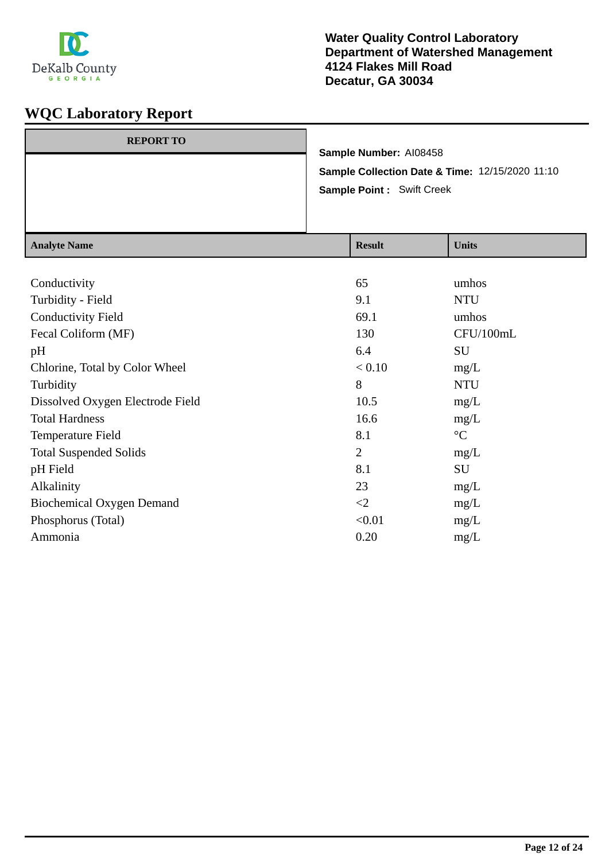

| <b>REPORT TO</b> |                                                 |
|------------------|-------------------------------------------------|
|                  | Sample Number: AI08458                          |
|                  | Sample Collection Date & Time: 12/15/2020 11:10 |
|                  | <b>Sample Point: Swift Creek</b>                |
|                  |                                                 |
|                  |                                                 |

| <b>Analyte Name</b>              | <b>Result</b>  | <b>Units</b>    |
|----------------------------------|----------------|-----------------|
|                                  |                |                 |
| Conductivity                     | 65             | umhos           |
| Turbidity - Field                | 9.1            | <b>NTU</b>      |
| <b>Conductivity Field</b>        | 69.1           | umhos           |
| Fecal Coliform (MF)              | 130            | CFU/100mL       |
| pH                               | 6.4            | <b>SU</b>       |
| Chlorine, Total by Color Wheel   | < 0.10         | mg/L            |
| Turbidity                        | 8              | <b>NTU</b>      |
| Dissolved Oxygen Electrode Field | 10.5           | mg/L            |
| <b>Total Hardness</b>            | 16.6           | mg/L            |
| Temperature Field                | 8.1            | $\rm ^{\circ}C$ |
| <b>Total Suspended Solids</b>    | $\overline{2}$ | mg/L            |
| pH Field                         | 8.1            | SU              |
| Alkalinity                       | 23             | mg/L            |
| <b>Biochemical Oxygen Demand</b> | $\leq$ 2       | mg/L            |
| Phosphorus (Total)               | < 0.01         | mg/L            |
| Ammonia                          | 0.20           | mg/L            |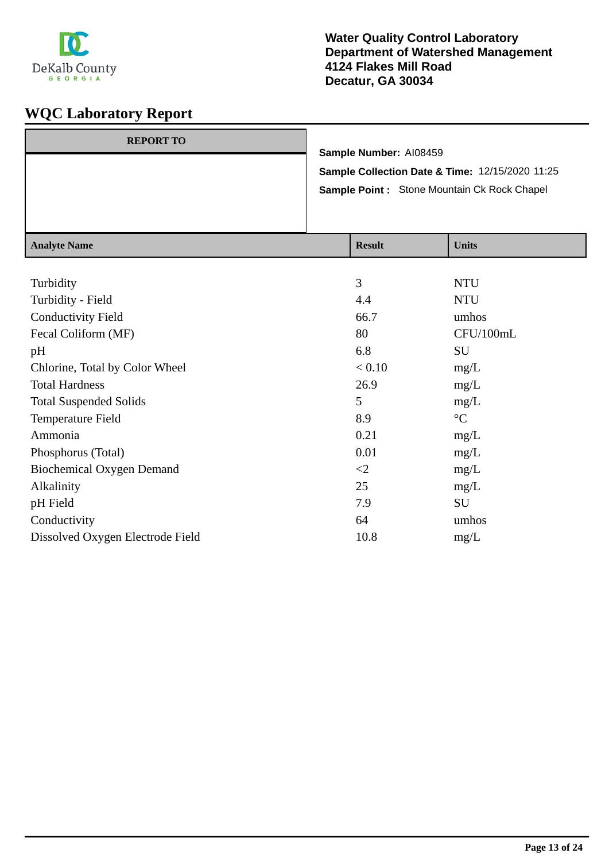

| <b>REPORT TO</b> |                                                            |
|------------------|------------------------------------------------------------|
|                  | Sample Number: AI08459                                     |
|                  | <b>Sample Collection Date &amp; Time: 12/15/2020 11:25</b> |
|                  | Sample Point: Stone Mountain Ck Rock Chapel                |
|                  |                                                            |
|                  |                                                            |

| <b>Result</b>  | <b>Units</b>    |
|----------------|-----------------|
|                |                 |
| $\overline{3}$ | <b>NTU</b>      |
| 4.4            | <b>NTU</b>      |
| 66.7           | umhos           |
| 80             | CFU/100mL       |
| 6.8            | SU              |
| < 0.10         | mg/L            |
| 26.9           | mg/L            |
| 5              | mg/L            |
| 8.9            | $\rm ^{\circ}C$ |
| 0.21           | mg/L            |
| 0.01           | mg/L            |
| $\leq$         | mg/L            |
| 25             | mg/L            |
| 7.9            | SU              |
| 64             | umhos           |
| 10.8           | mg/L            |
|                |                 |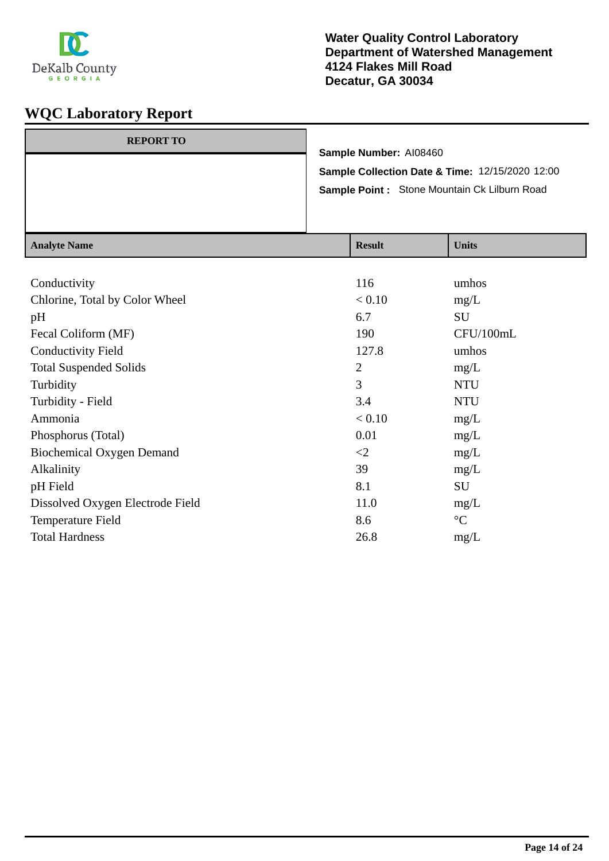

| Sample Collection Date & Time: 12/15/2020 12:00<br>Sample Point: Stone Mountain Ck Lilburn Road |  |
|-------------------------------------------------------------------------------------------------|--|
|                                                                                                 |  |
|                                                                                                 |  |
| <b>REPORT TO</b><br>Sample Number: AI08460                                                      |  |

| <b>Analyte Name</b>              | <b>Result</b>  | <b>Units</b>    |
|----------------------------------|----------------|-----------------|
|                                  |                |                 |
| Conductivity                     | 116            | umhos           |
| Chlorine, Total by Color Wheel   | < 0.10         | mg/L            |
| pH                               | 6.7            | SU              |
| Fecal Coliform (MF)              | 190            | CFU/100mL       |
| <b>Conductivity Field</b>        | 127.8          | umhos           |
| <b>Total Suspended Solids</b>    | $\overline{2}$ | mg/L            |
| Turbidity                        | 3              | <b>NTU</b>      |
| Turbidity - Field                | 3.4            | <b>NTU</b>      |
| Ammonia                          | < 0.10         | mg/L            |
| Phosphorus (Total)               | 0.01           | mg/L            |
| <b>Biochemical Oxygen Demand</b> | $\leq$ 2       | mg/L            |
| Alkalinity                       | 39             | mg/L            |
| pH Field                         | 8.1            | SU              |
| Dissolved Oxygen Electrode Field | 11.0           | mg/L            |
| Temperature Field                | 8.6            | $\rm ^{\circ}C$ |
| <b>Total Hardness</b>            | 26.8           | mg/L            |
|                                  |                |                 |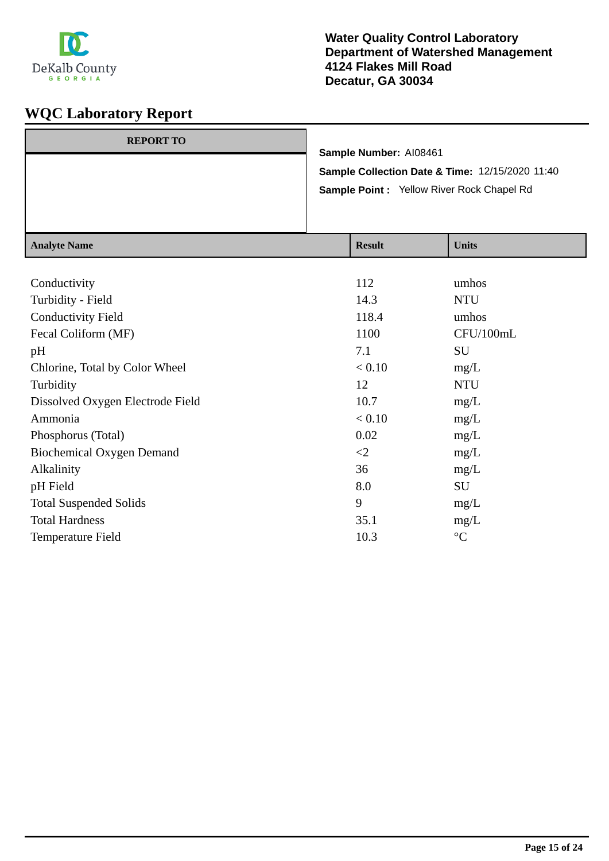

| <b>REPORT TO</b> |                                                 |
|------------------|-------------------------------------------------|
|                  | Sample Number: AI08461                          |
|                  | Sample Collection Date & Time: 12/15/2020 11:40 |
|                  | Sample Point : Yellow River Rock Chapel Rd      |
|                  |                                                 |
|                  |                                                 |

| <b>Result</b> | <b>Units</b>    |
|---------------|-----------------|
|               |                 |
| 112           | umhos           |
| 14.3          | <b>NTU</b>      |
| 118.4         | umhos           |
| 1100          | CFU/100mL       |
| 7.1           | SU              |
| < 0.10        | mg/L            |
| 12            | <b>NTU</b>      |
| 10.7          | mg/L            |
| < 0.10        | mg/L            |
| 0.02          | mg/L            |
| $\leq$        | mg/L            |
| 36            | mg/L            |
| 8.0           | SU              |
| 9             | mg/L            |
| 35.1          | mg/L            |
| 10.3          | $\rm ^{\circ}C$ |
|               |                 |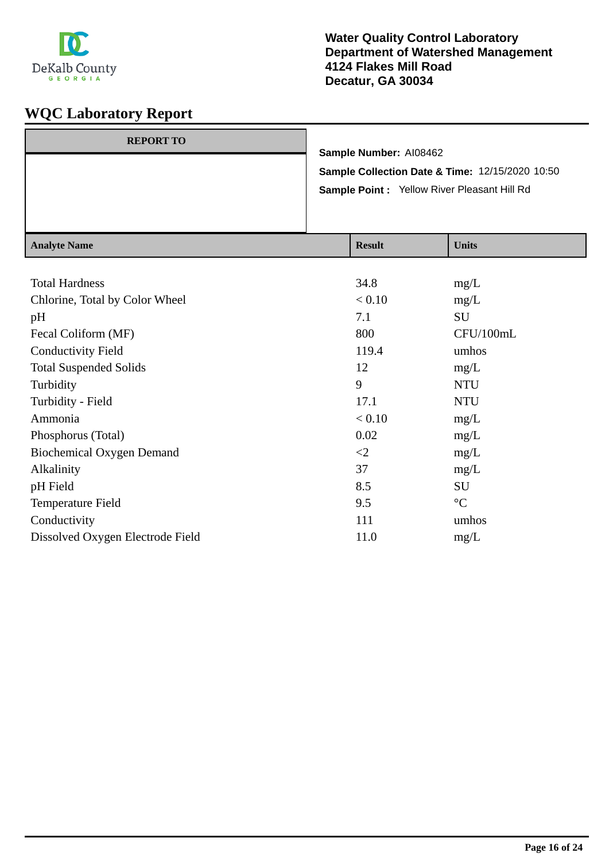

| <b>REPORT TO</b> | Sample Number: AI08462                             |
|------------------|----------------------------------------------------|
|                  | Sample Collection Date & Time: 12/15/2020 10:50    |
|                  | <b>Sample Point: Yellow River Pleasant Hill Rd</b> |
|                  |                                                    |

| <b>Result</b> | <b>Units</b>    |
|---------------|-----------------|
|               |                 |
| 34.8          | mg/L            |
| < 0.10        | mg/L            |
| 7.1           | SU              |
| 800           | CFU/100mL       |
| 119.4         | umhos           |
| 12            | mg/L            |
| 9             | <b>NTU</b>      |
| 17.1          | <b>NTU</b>      |
| < 0.10        | mg/L            |
| 0.02          | mg/L            |
| $\leq$ 2      | mg/L            |
| 37            | mg/L            |
| 8.5           | SU              |
| 9.5           | $\rm ^{\circ}C$ |
| 111           | umhos           |
| 11.0          | mg/L            |
|               |                 |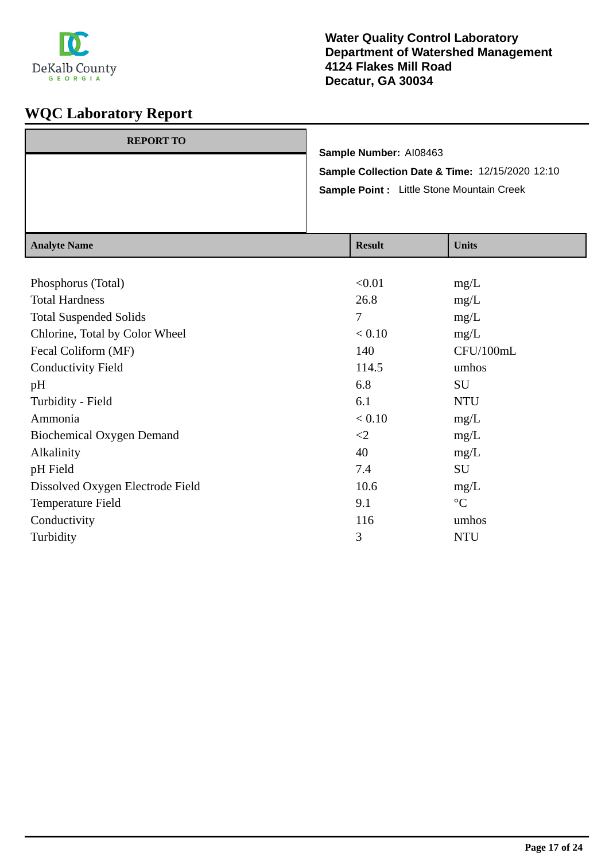

| <b>REPORT TO</b> |                                                 |
|------------------|-------------------------------------------------|
|                  | Sample Number: AI08463                          |
|                  | Sample Collection Date & Time: 12/15/2020 12:10 |
|                  | Sample Point : Little Stone Mountain Creek      |
|                  |                                                 |
|                  |                                                 |

| <b>Analyte Name</b>              | <b>Result</b> | <b>Units</b>    |
|----------------------------------|---------------|-----------------|
|                                  |               |                 |
| Phosphorus (Total)               | < 0.01        | mg/L            |
| <b>Total Hardness</b>            | 26.8          | mg/L            |
| <b>Total Suspended Solids</b>    | 7             | mg/L            |
| Chlorine, Total by Color Wheel   | < 0.10        | mg/L            |
| Fecal Coliform (MF)              | 140           | CFU/100mL       |
| <b>Conductivity Field</b>        | 114.5         | umhos           |
| pH                               | 6.8           | SU              |
| Turbidity - Field                | 6.1           | <b>NTU</b>      |
| Ammonia                          | < 0.10        | mg/L            |
| <b>Biochemical Oxygen Demand</b> | $\leq$        | mg/L            |
| Alkalinity                       | 40            | mg/L            |
| pH Field                         | 7.4           | SU              |
| Dissolved Oxygen Electrode Field | 10.6          | mg/L            |
| Temperature Field                | 9.1           | $\rm ^{\circ}C$ |
| Conductivity                     | 116           | umhos           |
| Turbidity                        | 3             | <b>NTU</b>      |
|                                  |               |                 |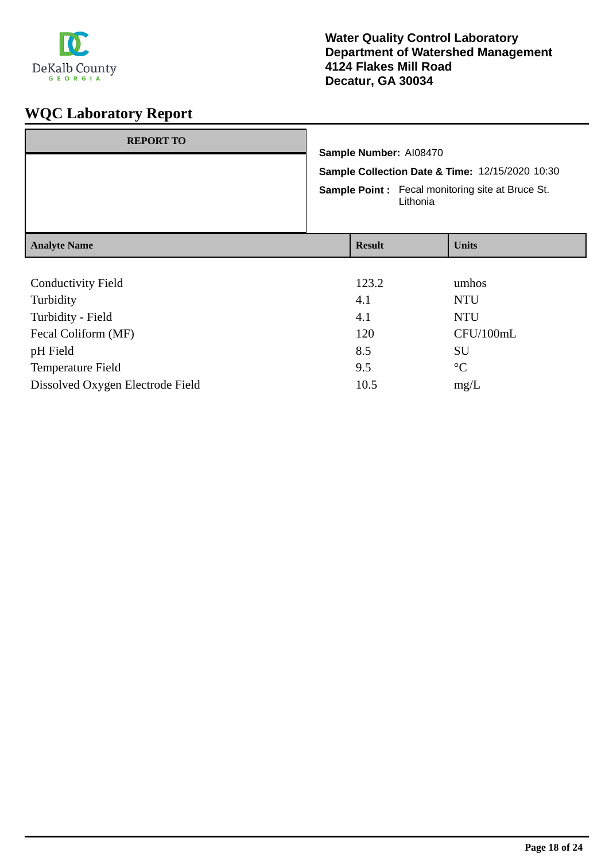

# **WQC Laboratory Report**

| <b>REPORT TO</b>          | Sample Number: AI08470<br>Lithonia | Sample Collection Date & Time: 12/15/2020 10:30<br><b>Sample Point:</b> Fecal monitoring site at Bruce St. |
|---------------------------|------------------------------------|------------------------------------------------------------------------------------------------------------|
| <b>Analyte Name</b>       | <b>Result</b>                      | <b>Units</b>                                                                                               |
|                           |                                    |                                                                                                            |
| <b>Conductivity Field</b> | 123.2                              | umhos                                                                                                      |
| Turbidity                 | 4.1                                | <b>NTU</b>                                                                                                 |
| Turbidity - Field         | 4.1                                | <b>NTU</b>                                                                                                 |
| Fecal Coliform (MF)       | 120                                | CFU/100mL                                                                                                  |
| pH Field                  | 8.5                                | SU                                                                                                         |
| <b>Temperature Field</b>  | 9.5                                | $\rm ^{\circ}C$                                                                                            |

Dissolved Oxygen Electrode Field 10.5 mg/L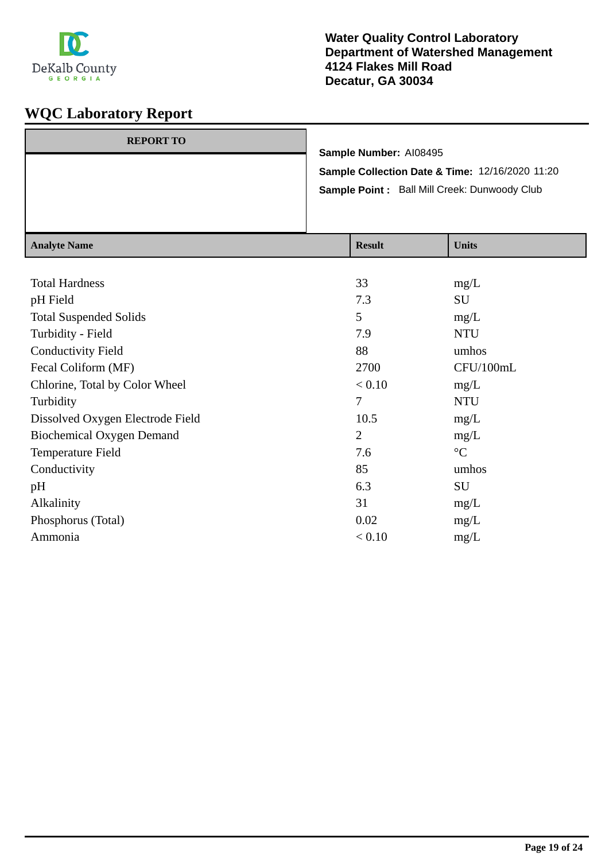

| <b>REPORT TO</b> |                                                 |
|------------------|-------------------------------------------------|
|                  | Sample Number: AI08495                          |
|                  | Sample Collection Date & Time: 12/16/2020 11:20 |
|                  | Sample Point: Ball Mill Creek: Dunwoody Club    |
|                  |                                                 |
|                  |                                                 |

| <b>Result</b>  | <b>Units</b>    |
|----------------|-----------------|
|                |                 |
| 33             | mg/L            |
| 7.3            | SU              |
| 5              | mg/L            |
| 7.9            | <b>NTU</b>      |
| 88             | umhos           |
| 2700           | CFU/100mL       |
| < 0.10         | mg/L            |
| 7              | <b>NTU</b>      |
| 10.5           | mg/L            |
| $\overline{2}$ | mg/L            |
| 7.6            | $\rm ^{\circ}C$ |
| 85             | umhos           |
| 6.3            | SU              |
| 31             | mg/L            |
| 0.02           | mg/L            |
| < 0.10         | mg/L            |
|                |                 |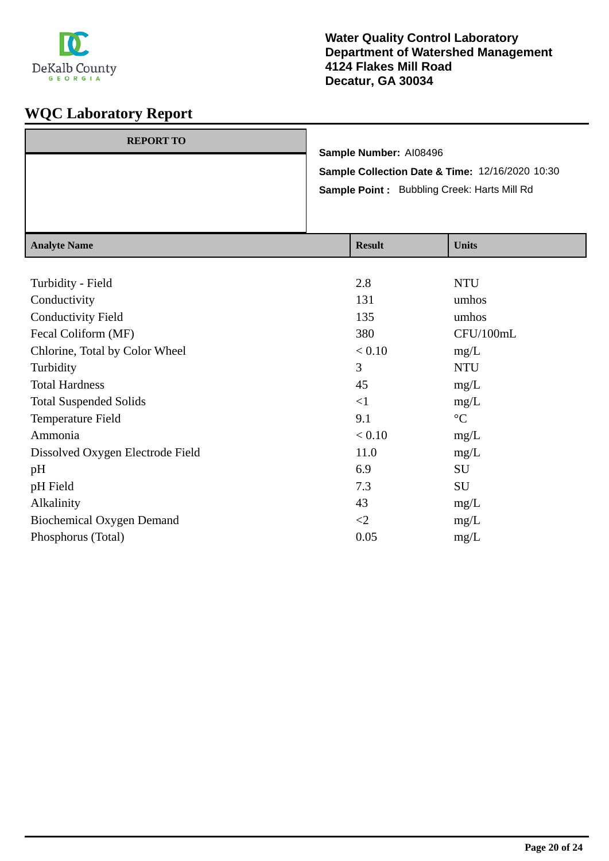

| <b>REPORT TO</b> |                                                    |
|------------------|----------------------------------------------------|
|                  | Sample Number: AI08496                             |
|                  | Sample Collection Date & Time: 12/16/2020 10:30    |
|                  | <b>Sample Point:</b> Bubbling Creek: Harts Mill Rd |
|                  |                                                    |
|                  |                                                    |

| <b>Result</b> | <b>Units</b>      |
|---------------|-------------------|
|               |                   |
| 2.8           | <b>NTU</b>        |
| 131           | umhos             |
| 135           | umhos             |
| 380           | CFU/100mL         |
| < 0.10        | mg/L              |
| 3             | <b>NTU</b>        |
| 45            | mg/L              |
| $\leq$ 1      | mg/L              |
| 9.1           | $^{\circ}{\rm C}$ |
| < 0.10        | mg/L              |
| 11.0          | mg/L              |
| 6.9           | SU                |
| 7.3           | <b>SU</b>         |
| 43            | mg/L              |
| $\leq$        | mg/L              |
| 0.05          | mg/L              |
|               |                   |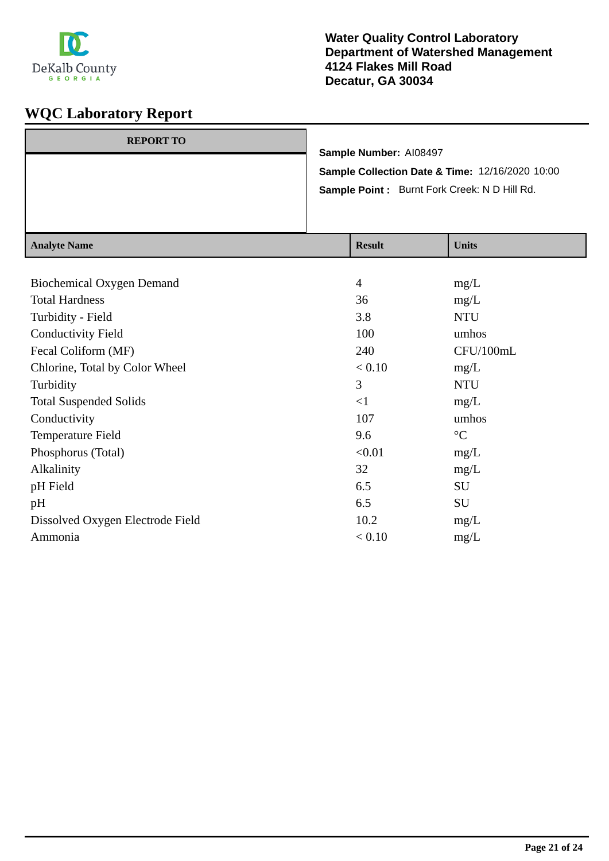

|                  | Sample Point: Burnt Fork Creek: N D Hill Rd.    |  |
|------------------|-------------------------------------------------|--|
|                  | Sample Collection Date & Time: 12/16/2020 10:00 |  |
| <b>REPORT TO</b> | Sample Number: AI08497                          |  |

| <b>Analyte Name</b>              | <b>Result</b>  | <b>Units</b>    |
|----------------------------------|----------------|-----------------|
|                                  |                |                 |
| Biochemical Oxygen Demand        | $\overline{4}$ | mg/L            |
| <b>Total Hardness</b>            | 36             | mg/L            |
| Turbidity - Field                | 3.8            | <b>NTU</b>      |
| <b>Conductivity Field</b>        | 100            | umhos           |
| Fecal Coliform (MF)              | 240            | CFU/100mL       |
| Chlorine, Total by Color Wheel   | < 0.10         | mg/L            |
| Turbidity                        | 3              | <b>NTU</b>      |
| <b>Total Suspended Solids</b>    | $<$ 1          | mg/L            |
| Conductivity                     | 107            | umhos           |
| Temperature Field                | 9.6            | $\rm ^{\circ}C$ |
| Phosphorus (Total)               | < 0.01         | mg/L            |
| Alkalinity                       | 32             | mg/L            |
| pH Field                         | 6.5            | <b>SU</b>       |
| pH                               | 6.5            | <b>SU</b>       |
| Dissolved Oxygen Electrode Field | 10.2           | mg/L            |
| Ammonia                          | < 0.10         | mg/L            |
|                                  |                |                 |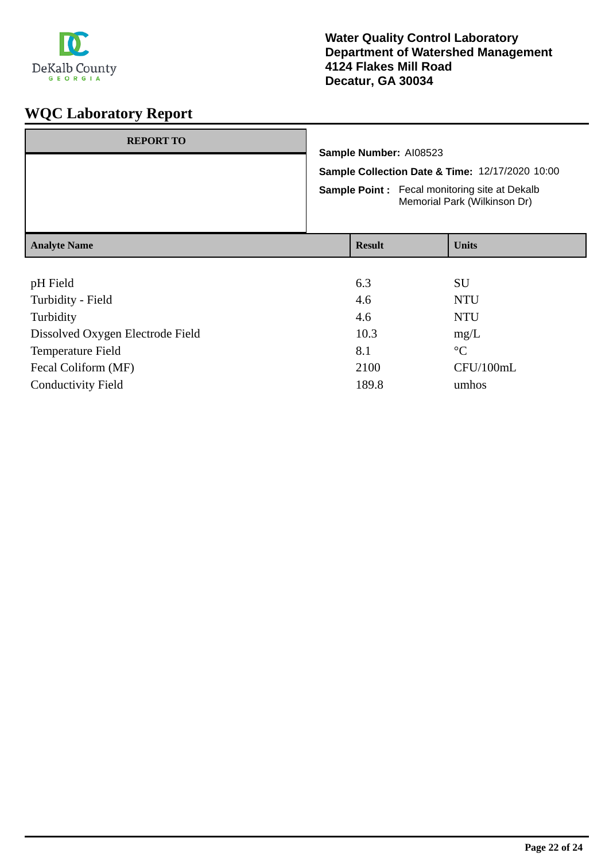

| <b>REPORT TO</b>    |  | Sample Number: AI08523<br>Sample Collection Date & Time: 12/17/2020 10:00<br><b>Sample Point:</b> Fecal monitoring site at Dekalb<br>Memorial Park (Wilkinson Dr) |                    |  |
|---------------------|--|-------------------------------------------------------------------------------------------------------------------------------------------------------------------|--------------------|--|
|                     |  |                                                                                                                                                                   |                    |  |
| <b>Analyte Name</b> |  | <b>Result</b>                                                                                                                                                     | <b>Units</b>       |  |
| pH Field            |  | 6.3<br>$\sim$                                                                                                                                                     | <b>SU</b><br>----- |  |

| Turbidity - Field                | 4.6   | <b>NTU</b>      |
|----------------------------------|-------|-----------------|
| Turbidity                        | 4.6   | <b>NTU</b>      |
| Dissolved Oxygen Electrode Field | 10.3  | mg/L            |
| Temperature Field                | 8.1   | $\rm ^{\circ}C$ |
| Fecal Coliform (MF)              | 2100  | CFU/100mL       |
| <b>Conductivity Field</b>        | 189.8 | umhos           |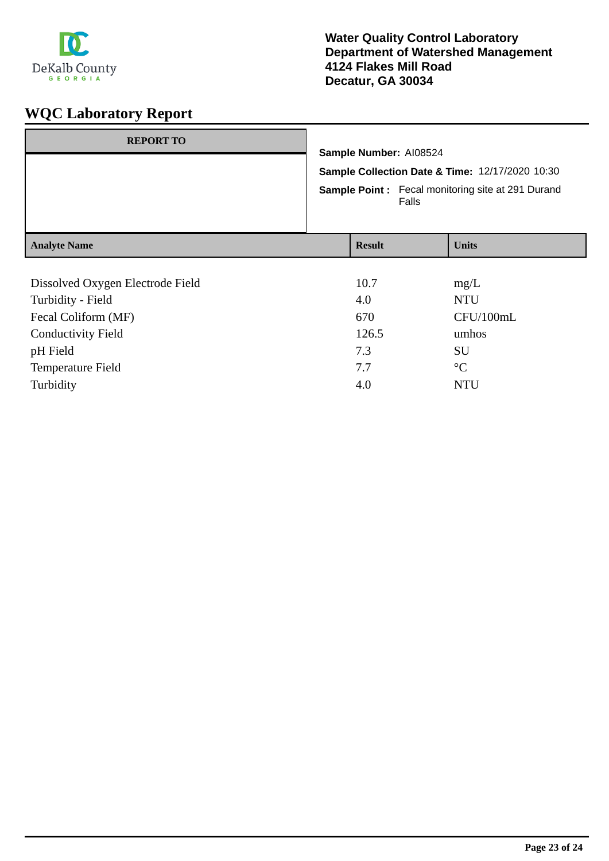

| <b>REPORT TO</b>                 |                                                                                                                      |  |              |
|----------------------------------|----------------------------------------------------------------------------------------------------------------------|--|--------------|
|                                  | Sample Number: AI08524                                                                                               |  |              |
|                                  | Sample Collection Date & Time: 12/17/2020 10:30<br><b>Sample Point:</b> Fecal monitoring site at 291 Durand<br>Falls |  |              |
|                                  |                                                                                                                      |  |              |
| <b>Analyte Name</b>              | <b>Result</b>                                                                                                        |  | <b>Units</b> |
|                                  |                                                                                                                      |  |              |
| Dissolved Oxygen Electrode Field | 10.7                                                                                                                 |  | mg/L         |
| Turbidity - Field                | 4.0                                                                                                                  |  | <b>NTU</b>   |
| Fecal Coliform (MF)              | 670                                                                                                                  |  | CFU/100mL    |
| _______________                  | ----                                                                                                                 |  |              |

| <b>Conductivity Field</b> | 126.5 | umhos     |
|---------------------------|-------|-----------|
| pH Field                  | 7.3   | SU        |
| <b>Temperature Field</b>  | 77    | $\circ$ C |
| Turbidity                 | 4.0   | NTU       |